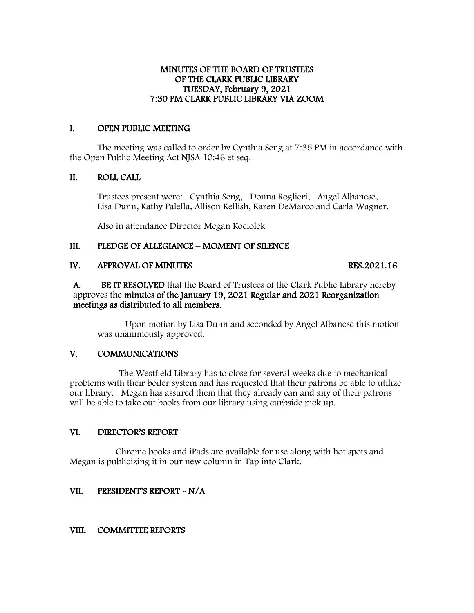#### MINUTES OF THE BOARD OF TRUSTEES OF THE CLARK PUBLIC LIBRARY TUESDAY, February 9, 2021 7:30 PM CLARK PUBLIC LIBRARY VIA ZOOM

## I. OPEN PUBLIC MEETING

The meeting was called to order by Cynthia Seng at 7:35 PM in accordance with the Open Public Meeting Act NJSA 10:46 et seq.

## II. ROLL CALL

Trustees present were: Cynthia Seng, Donna Roglieri, Angel Albanese, Lisa Dunn, Kathy Palella, Allison Kellish, Karen DeMarco and Carla Wagner.

Also in attendance Director Megan Kociolek

# III. PLEDGE OF ALLEGIANCE – MOMENT OF SILENCE

# IV. APPROVAL OF MINUTES RES.2021.16

A. BE IT RESOLVED that the Board of Trustees of the Clark Public Library hereby approves the minutes of the January 19, 2021 Regular and 2021 Reorganization meetings as distributed to all members.

Upon motion by Lisa Dunn and seconded by Angel Albanese this motion was unanimously approved.

### V. COMMUNICATIONS

 The Westfield Library has to close for several weeks due to mechanical problems with their boiler system and has requested that their patrons be able to utilize our library. Megan has assured them that they already can and any of their patrons will be able to take out books from our library using curbside pick up.

# VI. DIRECTOR'S REPORT

 Chrome books and iPads are available for use along with hot spots and Megan is publicizing it in our new column in Tap into Clark.

# VII. PRESIDENT'S REPORT - N/A

# VIII. COMMITTEE REPORTS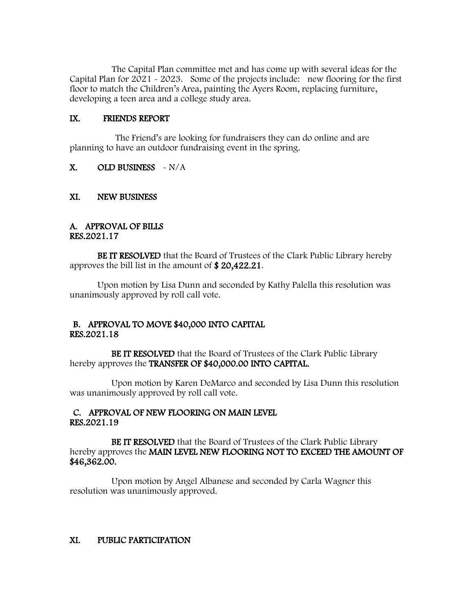The Capital Plan committee met and has come up with several ideas for the Capital Plan for 2021 - 2023. Some of the projects include: new flooring for the first floor to match the Children's Area, painting the Ayers Room, replacing furniture, developing a teen area and a college study area.

#### IX. FRIENDS REPORT

 The Friend's are looking for fundraisers they can do online and are planning to have an outdoor fundraising event in the spring.

### $X.$  OLD BUSINESS  $\sim N/A$

#### XI. NEW BUSINESS

#### A. APPROVAL OF BILLS RES.2021.17

BE IT RESOLVED that the Board of Trustees of the Clark Public Library hereby approves the bill list in the amount of \$ 20,422.21.

Upon motion by Lisa Dunn and seconded by Kathy Palella this resolution was unanimously approved by roll call vote.

### B. APPROVAL TO MOVE \$40,000 INTO CAPITAL RES.2021.18

BE IT RESOLVED that the Board of Trustees of the Clark Public Library hereby approves the TRANSFER OF \$40,000.00 INTO CAPITAL.

 Upon motion by Karen DeMarco and seconded by Lisa Dunn this resolution was unanimously approved by roll call vote.

#### C. APPROVAL OF NEW FLOORING ON MAIN LEVEL RES.2021.19

BE IT RESOLVED that the Board of Trustees of the Clark Public Library hereby approves the MAIN LEVEL NEW FLOORING NOT TO EXCEED THE AMOUNT OF \$46,362.00.

 Upon motion by Angel Albanese and seconded by Carla Wagner this resolution was unanimously approved.

### XI. PUBLIC PARTICIPATION